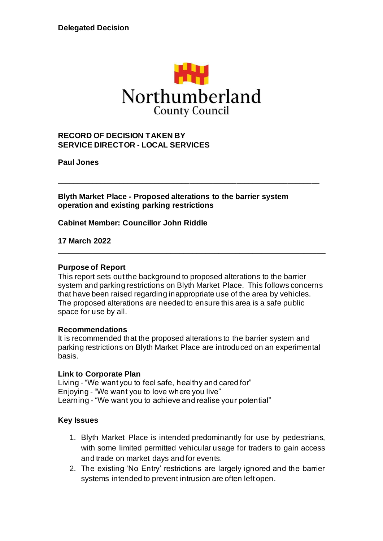

#### **RECORD OF DECISION TAKEN BY SERVICE DIRECTOR - LOCAL SERVICES**

**Paul Jones**

**Blyth Market Place - Proposed alterations to the barrier system operation and existing parking restrictions**

\_\_\_\_\_\_\_\_\_\_\_\_\_\_\_\_\_\_\_\_\_\_\_\_\_\_\_\_\_\_\_\_\_\_\_\_\_\_\_\_\_\_\_\_\_\_\_\_\_\_\_\_\_\_\_\_\_\_\_\_\_\_\_\_\_\_\_

**Cabinet Member: Councillor John Riddle** 

**17 March 2022**

#### **Purpose of Report**

This report sets out the background to proposed alterations to the barrier system and parking restrictions on Blyth Market Place. This follows concerns that have been raised regarding inappropriate use of the area by vehicles. The proposed alterations are needed to ensure this area is a safe public space for use by all.

\_\_\_\_\_\_\_\_\_\_\_\_\_\_\_\_\_\_\_\_\_\_\_\_\_\_\_\_\_\_\_\_\_\_\_\_\_\_\_\_\_\_\_\_\_\_\_\_\_\_\_\_\_\_\_\_\_\_\_\_\_\_

#### **Recommendations**

It is recommended that the proposed alterations to the barrier system and parking restrictions on Blyth Market Place are introduced on an experimental basis.

#### **Link to Corporate Plan**

Living - "We want you to feel safe, healthy and cared for" Enjoying - "We want you to love where you live" Learning - "We want you to achieve and realise your potential"

#### **Key Issues**

- 1. Blyth Market Place is intended predominantly for use by pedestrians, with some limited permitted vehicular usage for traders to gain access and trade on market days and for events.
- 2. The existing 'No Entry' restrictions are largely ignored and the barrier systems intended to prevent intrusion are often left open.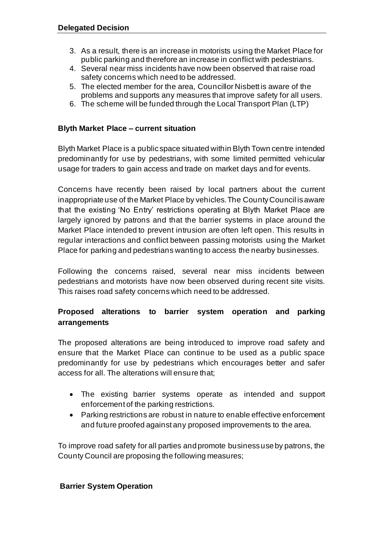- 3. As a result, there is an increase in motorists using the Market Place for public parking and therefore an increase in conflict with pedestrians.
- 4. Several near miss incidents have now been observed that raise road safety concerns which need to be addressed.
- 5. The elected member for the area, Councillor Nisbett is aware of the problems and supports any measures that improve safety for all users.
- 6. The scheme will be funded through the Local Transport Plan (LTP)

### **Blyth Market Place – current situation**

Blyth Market Place is a public space situated within Blyth Town centre intended predominantly for use by pedestrians, with some limited permitted vehicular usage for traders to gain access and trade on market days and for events.

Concerns have recently been raised by local partners about the current inappropriate use of the Market Place by vehicles. The County Council is aware that the existing 'No Entry' restrictions operating at Blyth Market Place are largely ignored by patrons and that the barrier systems in place around the Market Place intended to prevent intrusion are often left open. This results in regular interactions and conflict between passing motorists using the Market Place for parking and pedestrians wanting to access the nearby businesses.

Following the concerns raised, several near miss incidents between pedestrians and motorists have now been observed during recent site visits. This raises road safety concerns which need to be addressed.

# **Proposed alterations to barrier system operation and parking arrangements**

The proposed alterations are being introduced to improve road safety and ensure that the Market Place can continue to be used as a public space predominantly for use by pedestrians which encourages better and safer access for all. The alterations will ensure that;

- The existing barrier systems operate as intended and support enforcement of the parking restrictions.
- Parking restrictions are robust in nature to enable effective enforcement and future proofed against any proposed improvements to the area.

To improve road safety for all parties and promote business use by patrons, the County Council are proposing the following measures;

#### **Barrier System Operation**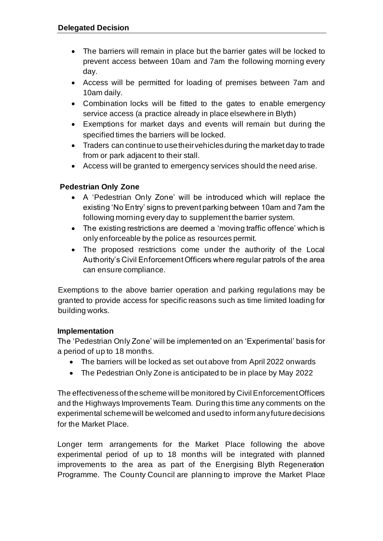- The barriers will remain in place but the barrier gates will be locked to prevent access between 10am and 7am the following morning every day.
- Access will be permitted for loading of premises between 7am and 10am daily.
- Combination locks will be fitted to the gates to enable emergency service access (a practice already in place elsewhere in Blyth)
- Exemptions for market days and events will remain but during the specified times the barriers will be locked.
- Traders can continue to use their vehicles during the market day to trade from or park adjacent to their stall.
- Access will be granted to emergency services should the need arise.

# **Pedestrian Only Zone**

- A 'Pedestrian Only Zone' will be introduced which will replace the existing 'No Entry' signs to prevent parking between 10am and 7am the following morning every day to supplement the barrier system.
- The existing restrictions are deemed a 'moving traffic offence' which is only enforceable by the police as resources permit.
- The proposed restrictions come under the authority of the Local Authority's Civil Enforcement Officers where regular patrols of the area can ensure compliance.

Exemptions to the above barrier operation and parking regulations may be granted to provide access for specific reasons such as time limited loading for building works.

### **Implementation**

The 'Pedestrian Only Zone' will be implemented on an 'Experimental' basis for a period of up to 18 months.

- The barriers will be locked as set out above from April 2022 onwards
- The Pedestrian Only Zone is anticipated to be in place by May 2022

The effectiveness of the scheme will be monitored by Civil Enforcement Officers and the Highways Improvements Team. During this time any comments on the experimental scheme will be welcomed and used to inform any future decisions for the Market Place.

Longer term arrangements for the Market Place following the above experimental period of up to 18 months will be integrated with planned improvements to the area as part of the Energising Blyth Regeneration Programme. The County Council are planning to improve the Market Place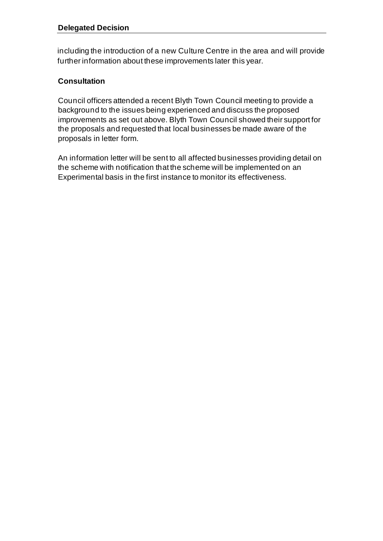including the introduction of a new Culture Centre in the area and will provide further information about these improvements later this year.

# **Consultation**

Council officers attended a recent Blyth Town Council meeting to provide a background to the issues being experienced and discuss the proposed improvements as set out above. Blyth Town Council showed their support for the proposals and requested that local businesses be made aware of the proposals in letter form.

An information letter will be sent to all affected businesses providing detail on the scheme with notification that the scheme will be implemented on an Experimental basis in the first instance to monitor its effectiveness.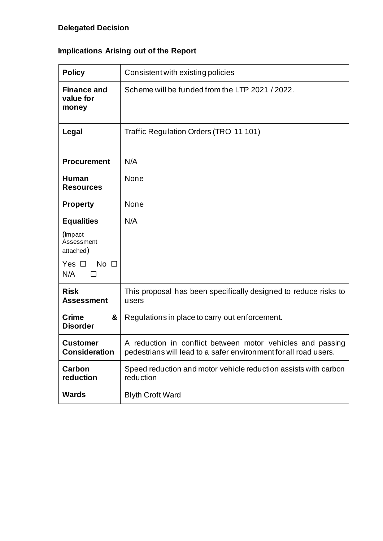# **Implications Arising out of the Report**

| <b>Policy</b>                              | Consistent with existing policies                                                                                              |
|--------------------------------------------|--------------------------------------------------------------------------------------------------------------------------------|
| <b>Finance and</b><br>value for<br>money   | Scheme will be funded from the LTP 2021 / 2022.                                                                                |
| Legal                                      | Traffic Regulation Orders (TRO 11 101)                                                                                         |
| <b>Procurement</b>                         | N/A                                                                                                                            |
| Human<br><b>Resources</b>                  | None                                                                                                                           |
| <b>Property</b>                            | None                                                                                                                           |
| <b>Equalities</b>                          | N/A                                                                                                                            |
| (Impact<br>Assessment<br>attached)         |                                                                                                                                |
| Yes $\square$<br>No $\square$<br>N/A<br>ΙI |                                                                                                                                |
| <b>Risk</b><br><b>Assessment</b>           | This proposal has been specifically designed to reduce risks to<br>users                                                       |
| &<br><b>Crime</b><br><b>Disorder</b>       | Regulations in place to carry out enforcement.                                                                                 |
| <b>Customer</b><br><b>Consideration</b>    | A reduction in conflict between motor vehicles and passing<br>pedestrians will lead to a safer environment for all road users. |
| <b>Carbon</b><br>reduction                 | Speed reduction and motor vehicle reduction assists with carbon<br>reduction                                                   |
| <b>Wards</b>                               | <b>Blyth Croft Ward</b>                                                                                                        |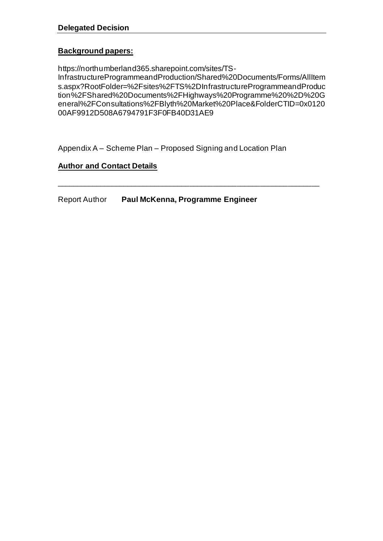### **Background papers:**

https://northumberland365.sharepoint.com/sites/TS-

InfrastructureProgrammeandProduction/Shared%20Documents/Forms/AllItem s.aspx?RootFolder=%2Fsites%2FTS%2DInfrastructureProgrammeandProduc tion%2FShared%20Documents%2FHighways%20Programme%20%2D%20G eneral%2FConsultations%2FBlyth%20Market%20Place&FolderCTID=0x0120 00AF9912D508A6794791F3F0FB40D31AE9

\_\_\_\_\_\_\_\_\_\_\_\_\_\_\_\_\_\_\_\_\_\_\_\_\_\_\_\_\_\_\_\_\_\_\_\_\_\_\_\_\_\_\_\_\_\_\_\_\_\_\_\_\_\_\_\_\_\_\_\_\_\_\_\_\_\_\_

Appendix A – Scheme Plan – Proposed Signing and Location Plan

# **Author and Contact Details**

Report Author **Paul McKenna, Programme Engineer**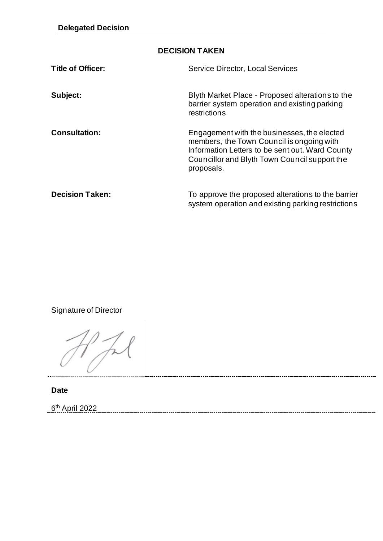| <b>DECISION TAKEN</b>    |                                                                                                                                                                                                            |  |
|--------------------------|------------------------------------------------------------------------------------------------------------------------------------------------------------------------------------------------------------|--|
| <b>Title of Officer:</b> | <b>Service Director, Local Services</b>                                                                                                                                                                    |  |
| Subject:                 | Blyth Market Place - Proposed alterations to the<br>barrier system operation and existing parking<br>restrictions                                                                                          |  |
| <b>Consultation:</b>     | Engagement with the businesses, the elected<br>members, the Town Council is ongoing with<br>Information Letters to be sent out. Ward County<br>Councillor and Blyth Town Council support the<br>proposals. |  |
| <b>Decision Taken:</b>   | To approve the proposed alterations to the barrier<br>system operation and existing parking restrictions                                                                                                   |  |

Signature of Director

**Date**

6<sup>th</sup> April 2022